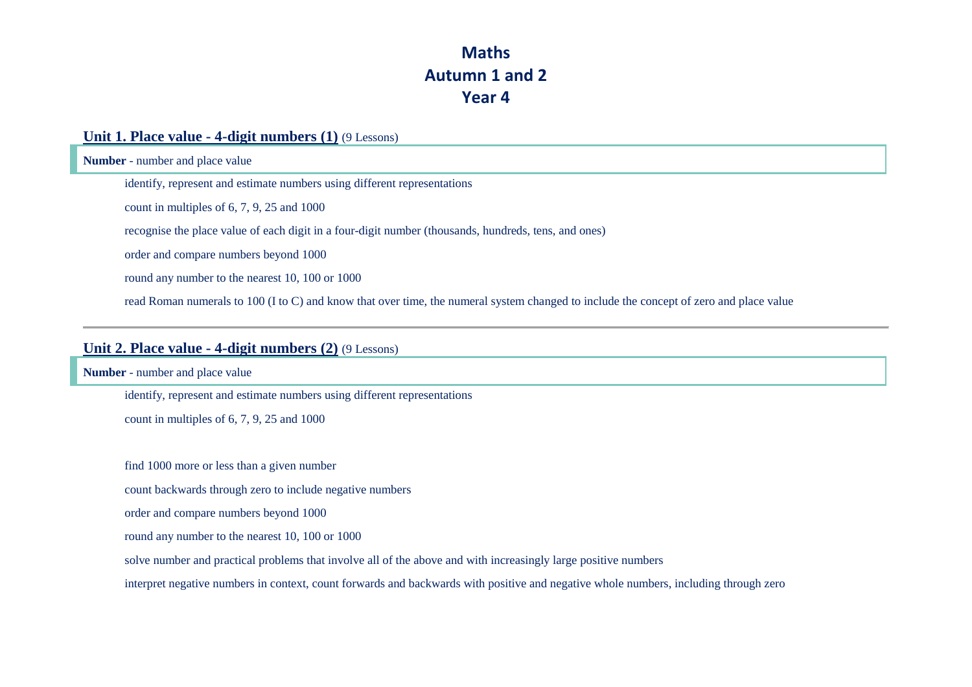# **Maths Autumn 1 and 2 Year 4**

### **Unit 1. Place value - 4-digit numbers (1)** (9 Lessons)

**Number** - number and place value

identify, represent and estimate numbers using different representations

count in multiples of 6, 7, 9, 25 and 1000

recognise the place value of each digit in a four-digit number (thousands, hundreds, tens, and ones)

order and compare numbers beyond 1000

round any number to the nearest 10, 100 or 1000

read Roman numerals to 100 (I to C) and know that over time, the numeral system changed to include the concept of zero and place value

#### **Unit 2. Place value - 4-digit numbers (2)** (9 Lessons)

**Number** - number and place value

identify, represent and estimate numbers using different representations

count in multiples of 6, 7, 9, 25 and 1000

find 1000 more or less than a given number

count backwards through zero to include negative numbers

order and compare numbers beyond 1000

round any number to the nearest 10, 100 or 1000

solve number and practical problems that involve all of the above and with increasingly large positive numbers

interpret negative numbers in context, count forwards and backwards with positive and negative whole numbers, including through zero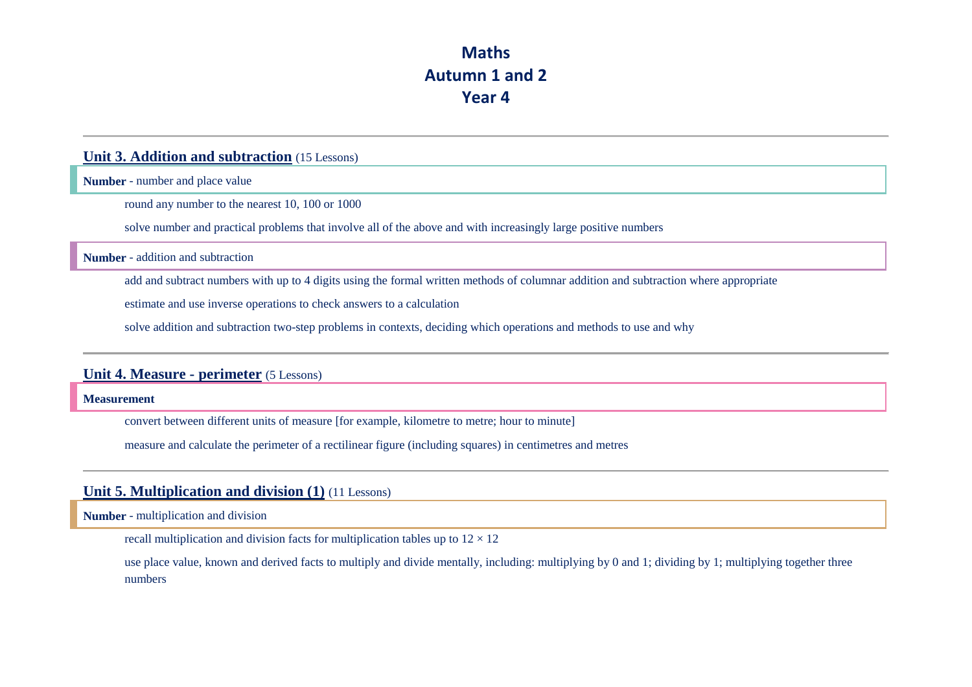# **Maths Autumn 1 and 2 Year 4**

### **Unit 3. Addition and subtraction** (15 Lessons)

**Number** - number and place value

round any number to the nearest 10, 100 or 1000

solve number and practical problems that involve all of the above and with increasingly large positive numbers

**Number** - addition and subtraction

add and subtract numbers with up to 4 digits using the formal written methods of columnar addition and subtraction where appropriate

estimate and use inverse operations to check answers to a calculation

solve addition and subtraction two-step problems in contexts, deciding which operations and methods to use and why

### **Unit 4. Measure - perimeter** (5 Lessons)

#### **Measurement**

convert between different units of measure [for example, kilometre to metre; hour to minute]

measure and calculate the perimeter of a rectilinear figure (including squares) in centimetres and metres

#### **Unit 5. Multiplication and division (1)** (11 Lessons)

**Number** - multiplication and division

recall multiplication and division facts for multiplication tables up to  $12 \times 12$ 

use place value, known and derived facts to multiply and divide mentally, including: multiplying by 0 and 1; dividing by 1; multiplying together three numbers